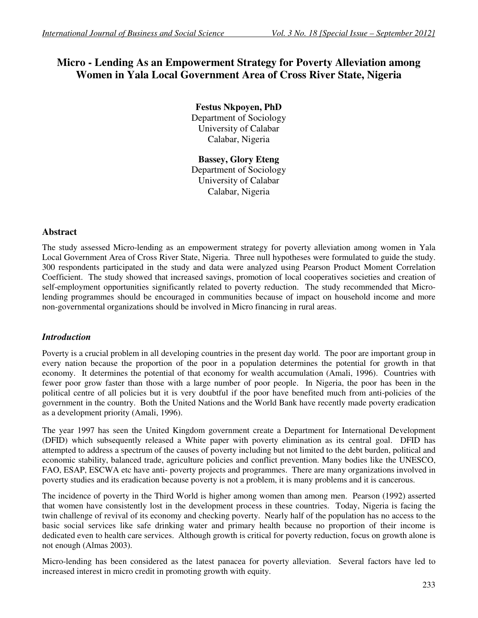# **Micro - Lending As an Empowerment Strategy for Poverty Alleviation among Women in Yala Local Government Area of Cross River State, Nigeria**

**Festus Nkpoyen, PhD**  Department of Sociology University of Calabar Calabar, Nigeria

**Bassey, Glory Eteng**  Department of Sociology University of Calabar Calabar, Nigeria

## **Abstract**

The study assessed Micro-lending as an empowerment strategy for poverty alleviation among women in Yala Local Government Area of Cross River State, Nigeria. Three null hypotheses were formulated to guide the study. 300 respondents participated in the study and data were analyzed using Pearson Product Moment Correlation Coefficient. The study showed that increased savings, promotion of local cooperatives societies and creation of self-employment opportunities significantly related to poverty reduction. The study recommended that Microlending programmes should be encouraged in communities because of impact on household income and more non-governmental organizations should be involved in Micro financing in rural areas.

# *Introduction*

Poverty is a crucial problem in all developing countries in the present day world. The poor are important group in every nation because the proportion of the poor in a population determines the potential for growth in that economy. It determines the potential of that economy for wealth accumulation (Amali, 1996). Countries with fewer poor grow faster than those with a large number of poor people. In Nigeria, the poor has been in the political centre of all policies but it is very doubtful if the poor have benefited much from anti-policies of the government in the country. Both the United Nations and the World Bank have recently made poverty eradication as a development priority (Amali, 1996).

The year 1997 has seen the United Kingdom government create a Department for International Development (DFID) which subsequently released a White paper with poverty elimination as its central goal. DFID has attempted to address a spectrum of the causes of poverty including but not limited to the debt burden, political and economic stability, balanced trade, agriculture policies and conflict prevention. Many bodies like the UNESCO, FAO, ESAP, ESCWA etc have anti- poverty projects and programmes. There are many organizations involved in poverty studies and its eradication because poverty is not a problem, it is many problems and it is cancerous.

The incidence of poverty in the Third World is higher among women than among men. Pearson (1992) asserted that women have consistently lost in the development process in these countries. Today, Nigeria is facing the twin challenge of revival of its economy and checking poverty. Nearly half of the population has no access to the basic social services like safe drinking water and primary health because no proportion of their income is dedicated even to health care services. Although growth is critical for poverty reduction, focus on growth alone is not enough (Almas 2003).

Micro-lending has been considered as the latest panacea for poverty alleviation. Several factors have led to increased interest in micro credit in promoting growth with equity.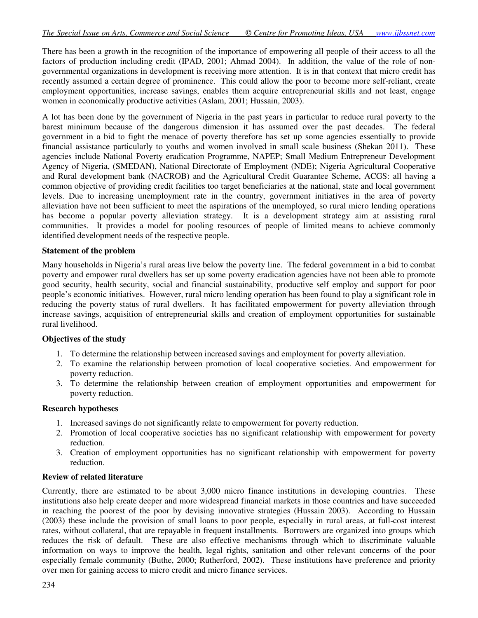There has been a growth in the recognition of the importance of empowering all people of their access to all the factors of production including credit (IPAD, 2001; Ahmad 2004). In addition, the value of the role of nongovernmental organizations in development is receiving more attention. It is in that context that micro credit has recently assumed a certain degree of prominence. This could allow the poor to become more self-reliant, create employment opportunities, increase savings, enables them acquire entrepreneurial skills and not least, engage women in economically productive activities (Aslam, 2001; Hussain, 2003).

A lot has been done by the government of Nigeria in the past years in particular to reduce rural poverty to the barest minimum because of the dangerous dimension it has assumed over the past decades. The federal government in a bid to fight the menace of poverty therefore has set up some agencies essentially to provide financial assistance particularly to youths and women involved in small scale business (Shekan 2011). These agencies include National Poverty eradication Programme, NAPEP; Small Medium Entrepreneur Development Agency of Nigeria, (SMEDAN), National Directorate of Employment (NDE); Nigeria Agricultural Cooperative and Rural development bank (NACROB) and the Agricultural Credit Guarantee Scheme, ACGS: all having a common objective of providing credit facilities too target beneficiaries at the national, state and local government levels. Due to increasing unemployment rate in the country, government initiatives in the area of poverty alleviation have not been sufficient to meet the aspirations of the unemployed, so rural micro lending operations has become a popular poverty alleviation strategy. It is a development strategy aim at assisting rural communities. It provides a model for pooling resources of people of limited means to achieve commonly identified development needs of the respective people.

#### **Statement of the problem**

Many households in Nigeria's rural areas live below the poverty line. The federal government in a bid to combat poverty and empower rural dwellers has set up some poverty eradication agencies have not been able to promote good security, health security, social and financial sustainability, productive self employ and support for poor people's economic initiatives. However, rural micro lending operation has been found to play a significant role in reducing the poverty status of rural dwellers. It has facilitated empowerment for poverty alleviation through increase savings, acquisition of entrepreneurial skills and creation of employment opportunities for sustainable rural livelihood.

#### **Objectives of the study**

- 1. To determine the relationship between increased savings and employment for poverty alleviation.
- 2. To examine the relationship between promotion of local cooperative societies. And empowerment for poverty reduction.
- 3. To determine the relationship between creation of employment opportunities and empowerment for poverty reduction.

#### **Research hypotheses**

- 1. Increased savings do not significantly relate to empowerment for poverty reduction.
- 2. Promotion of local cooperative societies has no significant relationship with empowerment for poverty reduction.
- 3. Creation of employment opportunities has no significant relationship with empowerment for poverty reduction.

#### **Review of related literature**

Currently, there are estimated to be about 3,000 micro finance institutions in developing countries. These institutions also help create deeper and more widespread financial markets in those countries and have succeeded in reaching the poorest of the poor by devising innovative strategies (Hussain 2003). According to Hussain (2003) these include the provision of small loans to poor people, especially in rural areas, at full-cost interest rates, without collateral, that are repayable in frequent installments. Borrowers are organized into groups which reduces the risk of default. These are also effective mechanisms through which to discriminate valuable information on ways to improve the health, legal rights, sanitation and other relevant concerns of the poor especially female community (Buthe, 2000; Rutherford, 2002). These institutions have preference and priority over men for gaining access to micro credit and micro finance services.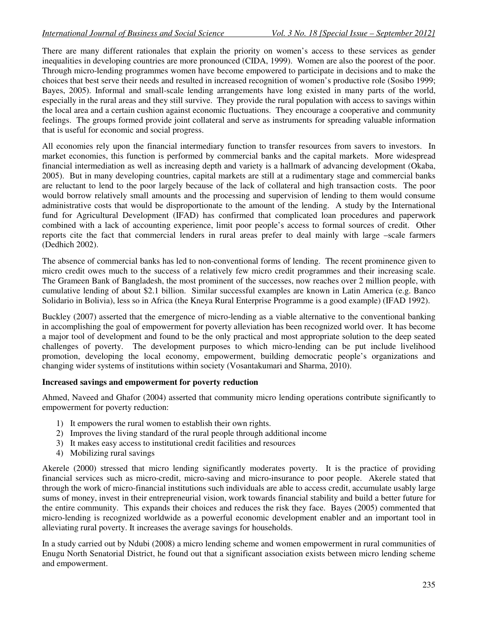There are many different rationales that explain the priority on women's access to these services as gender inequalities in developing countries are more pronounced (CIDA, 1999). Women are also the poorest of the poor. Through micro-lending programmes women have become empowered to participate in decisions and to make the choices that best serve their needs and resulted in increased recognition of women's productive role (Sosibo 1999; Bayes, 2005). Informal and small-scale lending arrangements have long existed in many parts of the world, especially in the rural areas and they still survive. They provide the rural population with access to savings within the local area and a certain cushion against economic fluctuations. They encourage a cooperative and community feelings. The groups formed provide joint collateral and serve as instruments for spreading valuable information that is useful for economic and social progress.

All economies rely upon the financial intermediary function to transfer resources from savers to investors. In market economies, this function is performed by commercial banks and the capital markets. More widespread financial intermediation as well as increasing depth and variety is a hallmark of advancing development (Okaba, 2005). But in many developing countries, capital markets are still at a rudimentary stage and commercial banks are reluctant to lend to the poor largely because of the lack of collateral and high transaction costs. The poor would borrow relatively small amounts and the processing and supervision of lending to them would consume administrative costs that would be disproportionate to the amount of the lending. A study by the International fund for Agricultural Development (IFAD) has confirmed that complicated loan procedures and paperwork combined with a lack of accounting experience, limit poor people's access to formal sources of credit. Other reports cite the fact that commercial lenders in rural areas prefer to deal mainly with large –scale farmers (Dedhich 2002).

The absence of commercial banks has led to non-conventional forms of lending. The recent prominence given to micro credit owes much to the success of a relatively few micro credit programmes and their increasing scale. The Grameen Bank of Bangladesh, the most prominent of the successes, now reaches over 2 million people, with cumulative lending of about \$2.1 billion. Similar successful examples are known in Latin America (e.g. Banco Solidario in Bolivia), less so in Africa (the Kneya Rural Enterprise Programme is a good example) (IFAD 1992).

Buckley (2007) asserted that the emergence of micro-lending as a viable alternative to the conventional banking in accomplishing the goal of empowerment for poverty alleviation has been recognized world over. It has become a major tool of development and found to be the only practical and most appropriate solution to the deep seated challenges of poverty. The development purposes to which micro-lending can be put include livelihood promotion, developing the local economy, empowerment, building democratic people's organizations and changing wider systems of institutions within society (Vosantakumari and Sharma, 2010).

#### **Increased savings and empowerment for poverty reduction**

Ahmed, Naveed and Ghafor (2004) asserted that community micro lending operations contribute significantly to empowerment for poverty reduction:

- 1) It empowers the rural women to establish their own rights.
- 2) Improves the living standard of the rural people through additional income
- 3) It makes easy access to institutional credit facilities and resources
- 4) Mobilizing rural savings

Akerele (2000) stressed that micro lending significantly moderates poverty. It is the practice of providing financial services such as micro-credit, micro-saving and micro-insurance to poor people. Akerele stated that through the work of micro-financial institutions such individuals are able to access credit, accumulate usably large sums of money, invest in their entrepreneurial vision, work towards financial stability and build a better future for the entire community. This expands their choices and reduces the risk they face. Bayes (2005) commented that micro-lending is recognized worldwide as a powerful economic development enabler and an important tool in alleviating rural poverty. It increases the average savings for households.

In a study carried out by Ndubi (2008) a micro lending scheme and women empowerment in rural communities of Enugu North Senatorial District, he found out that a significant association exists between micro lending scheme and empowerment.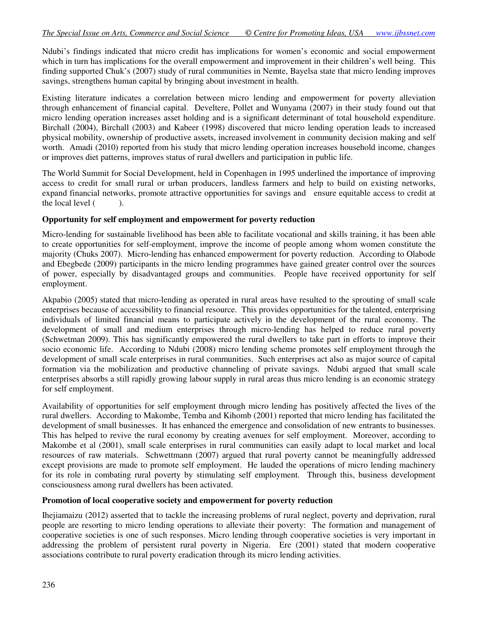Ndubi's findings indicated that micro credit has implications for women's economic and social empowerment which in turn has implications for the overall empowerment and improvement in their children's well being. This finding supported Chuk's (2007) study of rural communities in Nemte, Bayelsa state that micro lending improves savings, strengthens human capital by bringing about investment in health.

Existing literature indicates a correlation between micro lending and empowerment for poverty alleviation through enhancement of financial capital. Develtere, Pollet and Wunyama (2007) in their study found out that micro lending operation increases asset holding and is a significant determinant of total household expenditure. Birchall (2004), Birchall (2003) and Kabeer (1998) discovered that micro lending operation leads to increased physical mobility, ownership of productive assets, increased involvement in community decision making and self worth. Amadi (2010) reported from his study that micro lending operation increases household income, changes or improves diet patterns, improves status of rural dwellers and participation in public life.

The World Summit for Social Development, held in Copenhagen in 1995 underlined the importance of improving access to credit for small rural or urban producers, landless farmers and help to build on existing networks, expand financial networks, promote attractive opportunities for savings and ensure equitable access to credit at the local level  $($ ).

#### **Opportunity for self employment and empowerment for poverty reduction**

Micro-lending for sustainable livelihood has been able to facilitate vocational and skills training, it has been able to create opportunities for self-employment, improve the income of people among whom women constitute the majority (Chuks 2007). Micro-lending has enhanced empowerment for poverty reduction. According to Olabode and Ebegbede (2009) participants in the micro lending programmes have gained greater control over the sources of power, especially by disadvantaged groups and communities. People have received opportunity for self employment.

Akpabio (2005) stated that micro-lending as operated in rural areas have resulted to the sprouting of small scale enterprises because of accessibility to financial resource. This provides opportunities for the talented, enterprising individuals of limited financial means to participate actively in the development of the rural economy. The development of small and medium enterprises through micro-lending has helped to reduce rural poverty (Schwetman 2009). This has significantly empowered the rural dwellers to take part in efforts to improve their socio economic life. According to Ndubi (2008) micro lending scheme promotes self employment through the development of small scale enterprises in rural communities. Such enterprises act also as major source of capital formation via the mobilization and productive channeling of private savings. Ndubi argued that small scale enterprises absorbs a still rapidly growing labour supply in rural areas thus micro lending is an economic strategy for self employment.

Availability of opportunities for self employment through micro lending has positively affected the lives of the rural dwellers. According to Makombe, Temba and Kihomb (2001) reported that micro lending has facilitated the development of small businesses. It has enhanced the emergence and consolidation of new entrants to businesses. This has helped to revive the rural economy by creating avenues for self employment. Moreover, according to Makombe et al (2001), small scale enterprises in rural communities can easily adapt to local market and local resources of raw materials. Schwettmann (2007) argued that rural poverty cannot be meaningfully addressed except provisions are made to promote self employment. He lauded the operations of micro lending machinery for its role in combating rural poverty by stimulating self employment. Through this, business development consciousness among rural dwellers has been activated.

#### **Promotion of local cooperative society and empowerment for poverty reduction**

Ihejiamaizu (2012) asserted that to tackle the increasing problems of rural neglect, poverty and deprivation, rural people are resorting to micro lending operations to alleviate their poverty: The formation and management of cooperative societies is one of such responses. Micro lending through cooperative societies is very important in addressing the problem of persistent rural poverty in Nigeria. Ere (2001) stated that modern cooperative associations contribute to rural poverty eradication through its micro lending activities.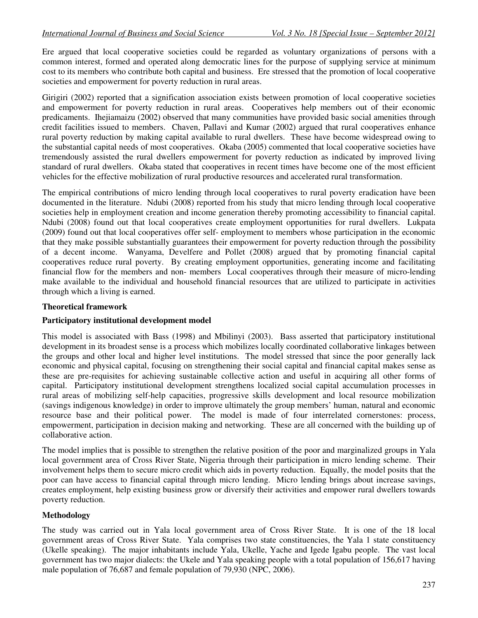Ere argued that local cooperative societies could be regarded as voluntary organizations of persons with a common interest, formed and operated along democratic lines for the purpose of supplying service at minimum cost to its members who contribute both capital and business. Ere stressed that the promotion of local cooperative societies and empowerment for poverty reduction in rural areas.

Girigiri (2002) reported that a signification association exists between promotion of local cooperative societies and empowerment for poverty reduction in rural areas. Cooperatives help members out of their economic predicaments. Ihejiamaizu (2002) observed that many communities have provided basic social amenities through credit facilities issued to members. Chaven, Pallavi and Kumar (2002) argued that rural cooperatives enhance rural poverty reduction by making capital available to rural dwellers. These have become widespread owing to the substantial capital needs of most cooperatives. Okaba (2005) commented that local cooperative societies have tremendously assisted the rural dwellers empowerment for poverty reduction as indicated by improved living standard of rural dwellers. Okaba stated that cooperatives in recent times have become one of the most efficient vehicles for the effective mobilization of rural productive resources and accelerated rural transformation.

The empirical contributions of micro lending through local cooperatives to rural poverty eradication have been documented in the literature. Ndubi (2008) reported from his study that micro lending through local cooperative societies help in employment creation and income generation thereby promoting accessibility to financial capital. Ndubi (2008) found out that local cooperatives create employment opportunities for rural dwellers. Lukpata (2009) found out that local cooperatives offer self- employment to members whose participation in the economic that they make possible substantially guarantees their empowerment for poverty reduction through the possibility of a decent income. Wanyama, Develfere and Pollet (2008) argued that by promoting financial capital cooperatives reduce rural poverty. By creating employment opportunities, generating income and facilitating financial flow for the members and non- members Local cooperatives through their measure of micro-lending make available to the individual and household financial resources that are utilized to participate in activities through which a living is earned.

## **Theoretical framework**

#### **Participatory institutional development model**

This model is associated with Bass (1998) and Mbilinyi (2003). Bass asserted that participatory institutional development in its broadest sense is a process which mobilizes locally coordinated collaborative linkages between the groups and other local and higher level institutions. The model stressed that since the poor generally lack economic and physical capital, focusing on strengthening their social capital and financial capital makes sense as these are pre-requisites for achieving sustainable collective action and useful in acquiring all other forms of capital. Participatory institutional development strengthens localized social capital accumulation processes in rural areas of mobilizing self-help capacities, progressive skills development and local resource mobilization (savings indigenous knowledge) in order to improve ultimately the group members' human, natural and economic resource base and their political power. The model is made of four interrelated cornerstones: process, empowerment, participation in decision making and networking. These are all concerned with the building up of collaborative action.

The model implies that is possible to strengthen the relative position of the poor and marginalized groups in Yala local government area of Cross River State, Nigeria through their participation in micro lending scheme. Their involvement helps them to secure micro credit which aids in poverty reduction. Equally, the model posits that the poor can have access to financial capital through micro lending. Micro lending brings about increase savings, creates employment, help existing business grow or diversify their activities and empower rural dwellers towards poverty reduction.

#### **Methodology**

The study was carried out in Yala local government area of Cross River State. It is one of the 18 local government areas of Cross River State. Yala comprises two state constituencies, the Yala 1 state constituency (Ukelle speaking). The major inhabitants include Yala, Ukelle, Yache and Igede Igabu people. The vast local government has two major dialects: the Ukele and Yala speaking people with a total population of 156,617 having male population of 76,687 and female population of 79,930 (NPC, 2006).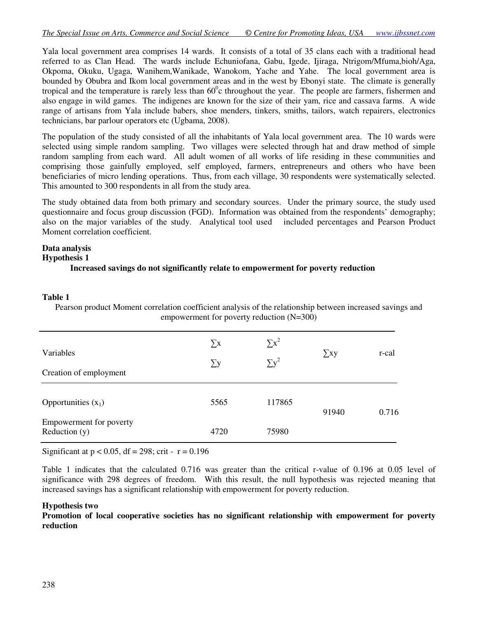Yala local government area comprises 14 wards. It consists of a total of 35 clans each with a traditional head referred to as Clan Head. The wards include Echuniofana, Gabu, Igede, Ijiraga, Ntrigom/Mfuma,bioh/Aga, Okpoma, Okuku, Ugaga, Wanihem,Wanikade, Wanokom, Yache and Yahe. The local government area is bounded by Obubra and Ikom local government areas and in the west by Ebonyi state. The climate is generally tropical and the temperature is rarely less than  $60^{\circ}$ c throughout the year. The people are farmers, fishermen and also engage in wild games. The indigenes are known for the size of their yam, rice and cassava farms. A wide range of artisans from Yala include babers, shoe menders, tinkers, smiths, tailors, watch repairers, electronics technicians, bar parlour operators etc (Ugbama, 2008).

The population of the study consisted of all the inhabitants of Yala local government area. The 10 wards were selected using simple random sampling. Two villages were selected through hat and draw method of simple random sampling from each ward. All adult women of all works of life residing in these communities and comprising those gainfully employed, self employed, farmers, entrepreneurs and others who have been beneficiaries of micro lending operations. Thus, from each village, 30 respondents were systematically selected. This amounted to 300 respondents in all from the study area.

The study obtained data from both primary and secondary sources. Under the primary source, the study used questionnaire and focus group discussion (FGD). Information was obtained from the respondents' demography; also on the major variables of the study. Analytical tool used included percentages and Pearson Product Moment correlation coefficient.

## **Data analysis**

#### **Hypothesis 1**

## **Increased savings do not significantly relate to empowerment for poverty reduction**

#### **Table 1**

Pearson product Moment correlation coefficient analysis of the relationship between increased savings and empowerment for poverty reduction (N=300)

| Variables<br>Creation of employment        | $\sum x$<br>$\sum y$ | $\sum x^2$<br>$\sum y^2$ | $\sum$ xy | r-cal |
|--------------------------------------------|----------------------|--------------------------|-----------|-------|
| Opportunities $(x_1)$                      | 5565                 | 117865                   | 91940     | 0.716 |
| Empowerment for poverty<br>Reduction $(y)$ | 4720                 | 75980                    |           |       |

Significant at  $p < 0.05$ , df = 298; crit -  $r = 0.196$ 

Table 1 indicates that the calculated 0.716 was greater than the critical r-value of 0.196 at 0.05 level of significance with 298 degrees of freedom. With this result, the null hypothesis was rejected meaning that increased savings has a significant relationship with empowerment for poverty reduction.

#### **Hypothesis two**

**Promotion of local cooperative societies has no significant relationship with empowerment for poverty reduction**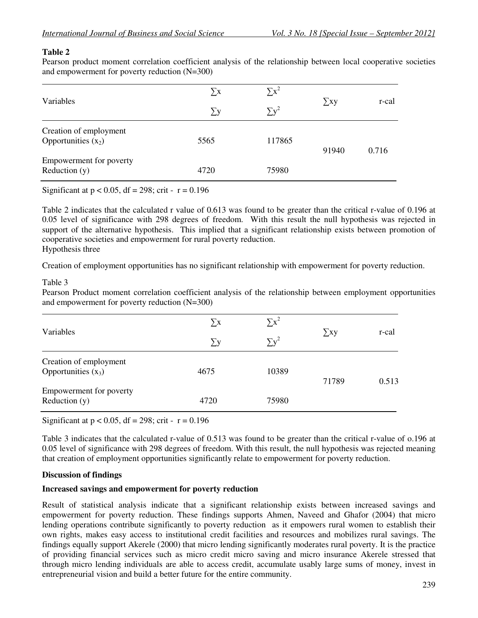### **Table 2**

Pearson product moment correlation coefficient analysis of the relationship between local cooperative societies and empowerment for poverty reduction (N=300)

| Variables                                       | $\sum x$ | $\Sigma x^2$ |           |       |
|-------------------------------------------------|----------|--------------|-----------|-------|
|                                                 | $\sum y$ | $\sum y^2$   | $\sum$ xy | r-cal |
| Creation of employment<br>Opportunities $(x_2)$ | 5565     | 117865       | 91940     | 0.716 |
| Empowerment for poverty<br>Reduction $(y)$      | 4720     | 75980        |           |       |
|                                                 |          |              |           |       |

Significant at  $p < 0.05$ , df = 298; crit -  $r = 0.196$ 

Table 2 indicates that the calculated r value of 0.613 was found to be greater than the critical r-value of 0.196 at 0.05 level of significance with 298 degrees of freedom. With this result the null hypothesis was rejected in support of the alternative hypothesis. This implied that a significant relationship exists between promotion of cooperative societies and empowerment for rural poverty reduction. Hypothesis three

Creation of employment opportunities has no significant relationship with empowerment for poverty reduction.

#### Table 3

Pearson Product moment correlation coefficient analysis of the relationship between employment opportunities and empowerment for poverty reduction (N=300)

| Variables                                       | $\sum x$ | $\sum x^2$ |           |       |
|-------------------------------------------------|----------|------------|-----------|-------|
|                                                 | $\sum y$ | $\sum y^2$ | $\sum$ xy | r-cal |
| Creation of employment<br>Opportunities $(x_3)$ | 4675     | 10389      | 71789     | 0.513 |
| Empowerment for poverty<br>Reduction $(y)$      | 4720     | 75980      |           |       |

Significant at  $p < 0.05$ , df = 298; crit -  $r = 0.196$ 

Table 3 indicates that the calculated r-value of 0.513 was found to be greater than the critical r-value of o.196 at 0.05 level of significance with 298 degrees of freedom. With this result, the null hypothesis was rejected meaning that creation of employment opportunities significantly relate to empowerment for poverty reduction.

#### **Discussion of findings**

#### **Increased savings and empowerment for poverty reduction**

Result of statistical analysis indicate that a significant relationship exists between increased savings and empowerment for poverty reduction. These findings supports Ahmen, Naveed and Ghafor (2004) that micro lending operations contribute significantly to poverty reduction as it empowers rural women to establish their own rights, makes easy access to institutional credit facilities and resources and mobilizes rural savings. The findings equally support Akerele (2000) that micro lending significantly moderates rural poverty. It is the practice of providing financial services such as micro credit micro saving and micro insurance Akerele stressed that through micro lending individuals are able to access credit, accumulate usably large sums of money, invest in entrepreneurial vision and build a better future for the entire community.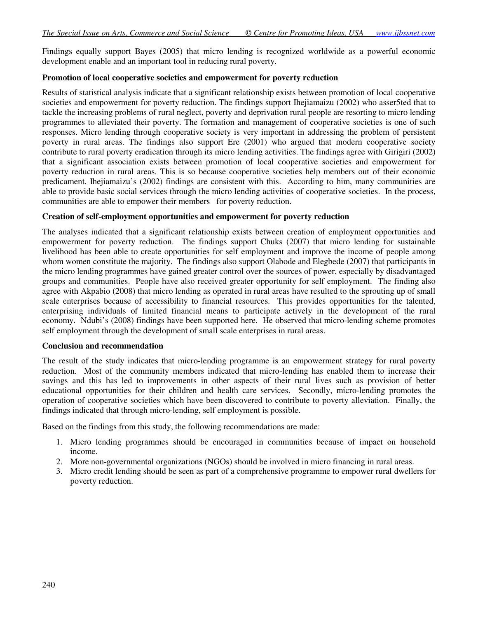Findings equally support Bayes (2005) that micro lending is recognized worldwide as a powerful economic development enable and an important tool in reducing rural poverty.

#### **Promotion of local cooperative societies and empowerment for poverty reduction**

Results of statistical analysis indicate that a significant relationship exists between promotion of local cooperative societies and empowerment for poverty reduction. The findings support Ihejiamaizu (2002) who asser5ted that to tackle the increasing problems of rural neglect, poverty and deprivation rural people are resorting to micro lending programmes to alleviated their poverty. The formation and management of cooperative societies is one of such responses. Micro lending through cooperative society is very important in addressing the problem of persistent poverty in rural areas. The findings also support Ere (2001) who argued that modern cooperative society contribute to rural poverty eradication through its micro lending activities. The findings agree with Girigiri (2002) that a significant association exists between promotion of local cooperative societies and empowerment for poverty reduction in rural areas. This is so because cooperative societies help members out of their economic predicament. Ihejiamaizu's (2002) findings are consistent with this. According to him, many communities are able to provide basic social services through the micro lending activities of cooperative societies. In the process, communities are able to empower their members for poverty reduction.

#### **Creation of self-employment opportunities and empowerment for poverty reduction**

The analyses indicated that a significant relationship exists between creation of employment opportunities and empowerment for poverty reduction. The findings support Chuks (2007) that micro lending for sustainable livelihood has been able to create opportunities for self employment and improve the income of people among whom women constitute the majority. The findings also support Olabode and Elegbede (2007) that participants in the micro lending programmes have gained greater control over the sources of power, especially by disadvantaged groups and communities. People have also received greater opportunity for self employment. The finding also agree with Akpabio (2008) that micro lending as operated in rural areas have resulted to the sprouting up of small scale enterprises because of accessibility to financial resources. This provides opportunities for the talented, enterprising individuals of limited financial means to participate actively in the development of the rural economy. Ndubi's (2008) findings have been supported here. He observed that micro-lending scheme promotes self employment through the development of small scale enterprises in rural areas.

#### **Conclusion and recommendation**

The result of the study indicates that micro-lending programme is an empowerment strategy for rural poverty reduction. Most of the community members indicated that micro-lending has enabled them to increase their savings and this has led to improvements in other aspects of their rural lives such as provision of better educational opportunities for their children and health care services. Secondly, micro-lending promotes the operation of cooperative societies which have been discovered to contribute to poverty alleviation. Finally, the findings indicated that through micro-lending, self employment is possible.

Based on the findings from this study, the following recommendations are made:

- 1. Micro lending programmes should be encouraged in communities because of impact on household income.
- 2. More non-governmental organizations (NGOs) should be involved in micro financing in rural areas.
- 3. Micro credit lending should be seen as part of a comprehensive programme to empower rural dwellers for poverty reduction.